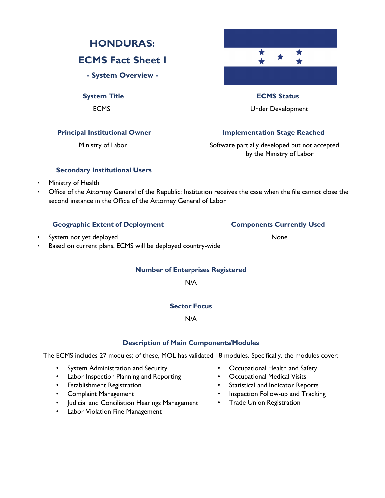# **HONDURAS:**

### **ECMS Fact Sheet I**

**- System Overview -**

# $\blacklozenge$ **System Title ECMS Status**

ECMS Under Development

### **Principal Institutional Owner Stage Reached Implementation Stage Reached**

Ministry of Labor **Software partially developed but not accepted** by the Ministry of Labor

### **Secondary Institutional Users**

- Ministry of Health
- Office of the Attorney General of the Republic: Institution receives the case when the file cannot close the second instance in the Office of the Attorney General of Labor

### Geographic Extent of Deployment **Components Currently Used**

- System not yet deployed None
- Based on current plans, ECMS will be deployed country-wide

### **Number of Enterprises Registered**

N/A

### **Sector Focus**

### N/A

### **Description of Main Components/Modules**

The ECMS includes 27 modules; of these, MOL has validated 18 modules. Specifically, the modules cover:

- System Administration and Security
- Labor Inspection Planning and Reporting
- Establishment Registration
- Complaint Management
- Judicial and Conciliation Hearings Management
- Labor Violation Fine Management
- Occupational Health and Safety
- Occupational Medical Visits
- Statistical and Indicator Reports
- Inspection Follow-up and Tracking
- Trade Union Registration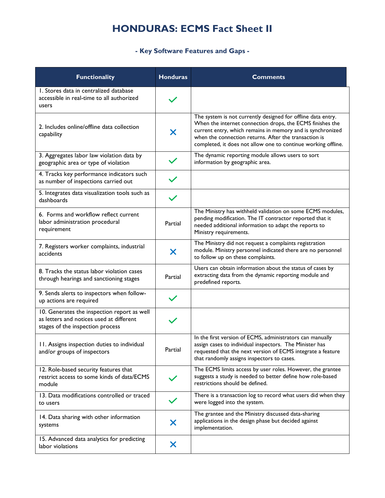# **HONDURAS: ECMS Fact Sheet II**

### **- Key Software Features and Gaps -**

| <b>Functionality</b>                                                                                                        | <b>Honduras</b>           | <b>Comments</b>                                                                                                                                                                                                                                                                                                   |
|-----------------------------------------------------------------------------------------------------------------------------|---------------------------|-------------------------------------------------------------------------------------------------------------------------------------------------------------------------------------------------------------------------------------------------------------------------------------------------------------------|
| I. Stores data in centralized database<br>accessible in real-time to all authorized<br>users                                |                           |                                                                                                                                                                                                                                                                                                                   |
| 2. Includes online/offline data collection<br>capability                                                                    | X                         | The system is not currently designed for offline data entry.<br>When the internet connection drops, the ECMS finishes the<br>current entry, which remains in memory and is synchronized<br>when the connection returns. After the transaction is<br>completed, it does not allow one to continue working offline. |
| 3. Aggregates labor law violation data by<br>geographic area or type of violation                                           |                           | The dynamic reporting module allows users to sort<br>information by geographic area.                                                                                                                                                                                                                              |
| 4. Tracks key performance indicators such<br>as number of inspections carried out                                           | $\checkmark$              |                                                                                                                                                                                                                                                                                                                   |
| 5. Integrates data visualization tools such as<br>dashboards                                                                |                           |                                                                                                                                                                                                                                                                                                                   |
| 6. Forms and workflow reflect current<br>labor administration procedural<br>requirement                                     | Partial                   | The Ministry has withheld validation on some ECMS modules,<br>pending modification. The IT contractor reported that it<br>needed additional information to adapt the reports to<br>Ministry requirements.                                                                                                         |
| 7. Registers worker complaints, industrial<br>accidents                                                                     | $\boldsymbol{\mathsf{X}}$ | The Ministry did not request a complaints registration<br>module. Ministry personnel indicated there are no personnel<br>to follow up on these complaints.                                                                                                                                                        |
| 8. Tracks the status labor violation cases<br>through hearings and sanctioning stages                                       | Partial                   | Users can obtain information about the status of cases by<br>extracting data from the dynamic reporting module and<br>predefined reports.                                                                                                                                                                         |
| 9. Sends alerts to inspectors when follow-<br>up actions are required                                                       |                           |                                                                                                                                                                                                                                                                                                                   |
| 10. Generates the inspection report as well<br>as letters and notices used at different<br>stages of the inspection process |                           |                                                                                                                                                                                                                                                                                                                   |
| 11. Assigns inspection duties to individual<br>and/or groups of inspectors                                                  | Partial                   | In the first version of ECMS, administrators can manually<br>assign cases to individual inspectors. The Minister has<br>requested that the next version of ECMS integrate a feature<br>that randomly assigns inspectors to cases.                                                                                 |
| 12. Role-based security features that<br>restrict access to some kinds of data/ECMS<br>module                               |                           | The ECMS limits access by user roles. However, the grantee<br>suggests a study is needed to better define how role-based<br>restrictions should be defined.                                                                                                                                                       |
| 13. Data modifications controlled or traced<br>to users                                                                     |                           | There is a transaction log to record what users did when they<br>were logged into the system.                                                                                                                                                                                                                     |
| 14. Data sharing with other information<br>systems                                                                          | X                         | The grantee and the Ministry discussed data-sharing<br>applications in the design phase but decided against<br>implementation.                                                                                                                                                                                    |
| 15. Advanced data analytics for predicting<br>labor violations                                                              | X                         |                                                                                                                                                                                                                                                                                                                   |